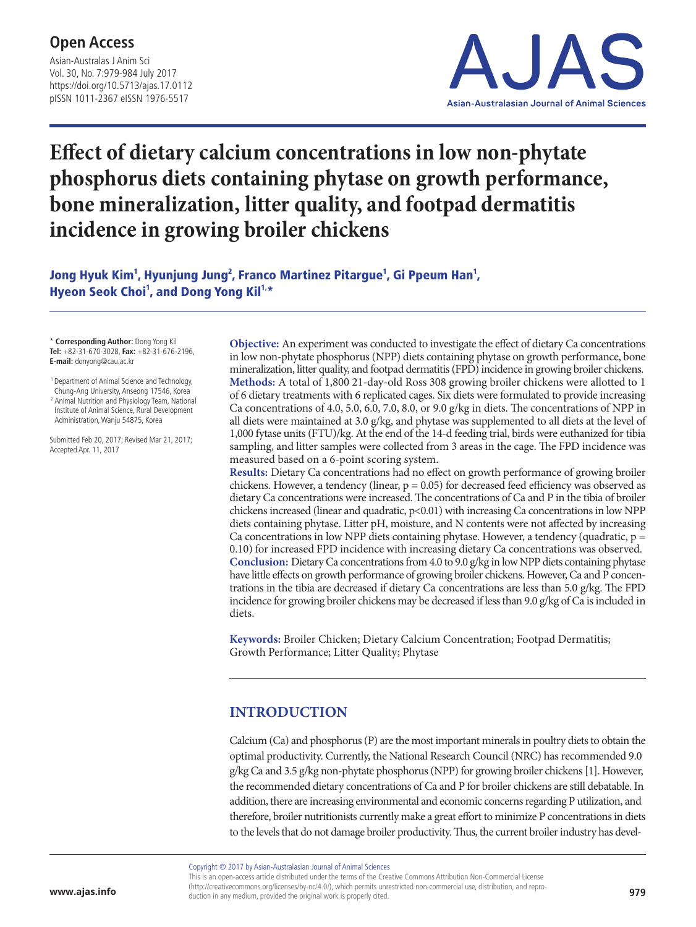## **Open Access**

Asian-Australas J Anim Sci Vol. 30, No. 7:979-984 July 2017 https://doi.org/10.5713/ajas.17.0112 pISSN 1011-2367 eISSN 1976-5517



# **Effect of dietary calcium concentrations in low non-phytate phosphorus diets containing phytase on growth performance, bone mineralization, litter quality, and footpad dermatitis incidence in growing broiler chickens**

Jong Hyuk Kim<sup>1</sup>, Hyunjung Jung<sup>2</sup>, Franco Martinez Pitargue<sup>1</sup>, Gi Ppeum Han<sup>1</sup>, Hyeon Seok Choi<sup>1</sup>, and Dong Yong Kil<sup>1,\*</sup>

\* **Corresponding Author:** Dong Yong Kil **Tel:** +82-31-670-3028, **Fax:** +82-31-676-2196, **E-mail:** donyong@cau.ac.kr

 1 Department of Animal Science and Technology, Chung-Ang University, Anseong 17546, Korea <sup>2</sup> Animal Nutrition and Physiology Team, National Institute of Animal Science, Rural Development Administration, Wanju 54875, Korea

Submitted Feb 20, 2017; Revised Mar 21, 2017; Accepted Apr. 11, 2017

**Objective:** An experiment was conducted to investigate the effect of dietary Ca concentrations in low non-phytate phosphorus (NPP) diets containing phytase on growth performance, bone mineralization, litter quality, and footpad dermatitis (FPD) incidence in growing broiler chickens. **Methods:** A total of 1,800 21-day-old Ross 308 growing broiler chickens were allotted to 1 of 6 dietary treatments with 6 replicated cages. Six diets were formulated to provide increasing Ca concentrations of 4.0, 5.0, 6.0, 7.0, 8.0, or 9.0 g/kg in diets. The concentrations of NPP in all diets were maintained at 3.0 g/kg, and phytase was supplemented to all diets at the level of 1,000 fytase units (FTU)/kg. At the end of the 14-d feeding trial, birds were euthanized for tibia sampling, and litter samples were collected from 3 areas in the cage. The FPD incidence was measured based on a 6-point scoring system.

**Results:** Dietary Ca concentrations had no effect on growth performance of growing broiler chickens. However, a tendency (linear,  $p = 0.05$ ) for decreased feed efficiency was observed as dietary Ca concentrations were increased. The concentrations of Ca and P in the tibia of broiler chickens increased (linear and quadratic, p<0.01) with increasing Ca concentrations in low NPP diets containing phytase. Litter pH, moisture, and N contents were not affected by increasing Ca concentrations in low NPP diets containing phytase. However, a tendency (quadratic,  $p =$ 0.10) for increased FPD incidence with increasing dietary Ca concentrations was observed. **Conclusion:** Dietary Ca concentrations from 4.0 to 9.0 g/kg in low NPP diets containing phytase have little effects on growth performance of growing broiler chickens. However, Ca and P concentrations in the tibia are decreased if dietary Ca concentrations are less than 5.0 g/kg. The FPD incidence for growing broiler chickens may be decreased if less than 9.0 g/kg of Ca is included in diets.

**Keywords:** Broiler Chicken; Dietary Calcium Concentration; Footpad Dermatitis; Growth Performance; Litter Quality; Phytase

### **INTRODUCTION**

Calcium (Ca) and phosphorus (P) are the most important minerals in poultry diets to obtain the optimal productivity. Currently, the National Research Council (NRC) has recommended 9.0 g/kg Ca and 3.5 g/kg non-phytate phosphorus (NPP) for growing broiler chickens [1]. However, the recommended dietary concentrations of Ca and P for broiler chickens are still debatable. In addition, there are increasing environmental and economic concerns regarding P utilization, and therefore, broiler nutritionists currently make a great effort to minimize P concentrations in diets to the levels that do not damage broiler productivity. Thus, the current broiler industry has devel-

Copyright © 2017 by Asian-Australasian Journal of Animal Sciences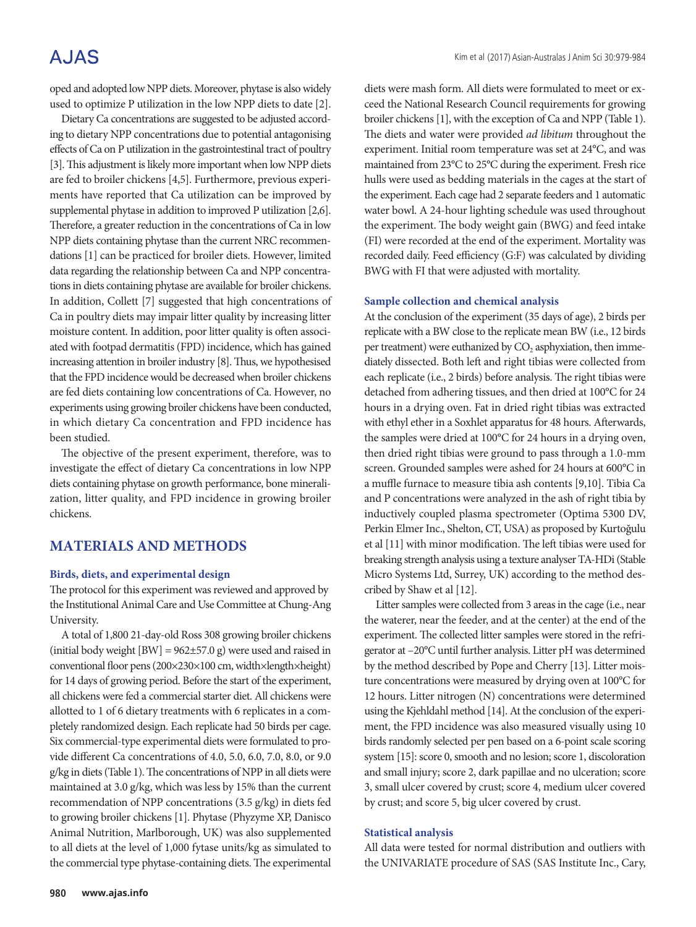## **AJAS**

oped and adopted low NPP diets. Moreover, phytase is also widely used to optimize P utilization in the low NPP diets to date [2].

Dietary Ca concentrations are suggested to be adjusted according to dietary NPP concentrations due to potential antagonising effects of Ca on P utilization in the gastrointestinal tract of poultry [3]. This adjustment is likely more important when low NPP diets are fed to broiler chickens [4,5]. Furthermore, previous experiments have reported that Ca utilization can be improved by supplemental phytase in addition to improved P utilization [2,6]. Therefore, a greater reduction in the concentrations of Ca in low NPP diets containing phytase than the current NRC recommendations [1] can be practiced for broiler diets. However, limited data regarding the relationship between Ca and NPP concentrations in diets containing phytase are available for broiler chickens. In addition, Collett [7] suggested that high concentrations of Ca in poultry diets may impair litter quality by increasing litter moisture content. In addition, poor litter quality is often associated with footpad dermatitis (FPD) incidence, which has gained increasing attention in broiler industry [8]. Thus, we hypothesised that the FPD incidence would be decreased when broiler chickens are fed diets containing low concentrations of Ca. However, no experiments using growing broiler chickens have been conducted, in which dietary Ca concentration and FPD incidence has been studied.

The objective of the present experiment, therefore, was to investigate the effect of dietary Ca concentrations in low NPP diets containing phytase on growth performance, bone mineralization, litter quality, and FPD incidence in growing broiler chickens.

#### **MATERIALS AND METHODS**

#### **Birds, diets, and experimental design**

The protocol for this experiment was reviewed and approved by the Institutional Animal Care and Use Committee at Chung-Ang University.

A total of 1,800 21-day-old Ross 308 growing broiler chickens (initial body weight [BW] = 962±57.0 g) were used and raised in conventional floor pens (200×230×100 cm, width×length×height) for 14 days of growing period. Before the start of the experiment, all chickens were fed a commercial starter diet. All chickens were allotted to 1 of 6 dietary treatments with 6 replicates in a completely randomized design. Each replicate had 50 birds per cage. Six commercial-type experimental diets were formulated to provide different Ca concentrations of 4.0, 5.0, 6.0, 7.0, 8.0, or 9.0 g/kg in diets (Table 1). The concentrations of NPP in all diets were maintained at 3.0 g/kg, which was less by 15% than the current recommendation of NPP concentrations (3.5 g/kg) in diets fed to growing broiler chickens [1]. Phytase (Phyzyme XP, Danisco Animal Nutrition, Marlborough, UK) was also supplemented to all diets at the level of 1,000 fytase units/kg as simulated to the commercial type phytase-containing diets. The experimental

diets were mash form. All diets were formulated to meet or exceed the National Research Council requirements for growing broiler chickens [1], with the exception of Ca and NPP (Table 1). The diets and water were provided *ad libitum* throughout the experiment. Initial room temperature was set at 24°C, and was maintained from 23°C to 25°C during the experiment. Fresh rice hulls were used as bedding materials in the cages at the start of the experiment. Each cage had 2 separate feeders and 1 automatic water bowl. A 24-hour lighting schedule was used throughout the experiment. The body weight gain (BWG) and feed intake (FI) were recorded at the end of the experiment. Mortality was recorded daily. Feed efficiency (G:F) was calculated by dividing BWG with FI that were adjusted with mortality.

#### **Sample collection and chemical analysis**

At the conclusion of the experiment (35 days of age), 2 birds per replicate with a BW close to the replicate mean BW (i.e., 12 birds per treatment) were euthanized by  $CO<sub>2</sub>$  asphyxiation, then immediately dissected. Both left and right tibias were collected from each replicate (i.e., 2 birds) before analysis. The right tibias were detached from adhering tissues, and then dried at 100°C for 24 hours in a drying oven. Fat in dried right tibias was extracted with ethyl ether in a Soxhlet apparatus for 48 hours. Afterwards, the samples were dried at 100°C for 24 hours in a drying oven, then dried right tibias were ground to pass through a 1.0-mm screen. Grounded samples were ashed for 24 hours at 600°C in a muffle furnace to measure tibia ash contents [9,10]. Tibia Ca and P concentrations were analyzed in the ash of right tibia by inductively coupled plasma spectrometer (Optima 5300 DV, Perkin Elmer Inc., Shelton, CT, USA) as proposed by Kurtoğulu et al [11] with minor modification. The left tibias were used for breaking strength analysis using a texture analyser TA-HDi (Stable Micro Systems Ltd, Surrey, UK) according to the method described by Shaw et al [12].

Litter samples were collected from 3 areas in the cage (i.e., near the waterer, near the feeder, and at the center) at the end of the experiment. The collected litter samples were stored in the refrigerator at –20°C until further analysis. Litter pH was determined by the method described by Pope and Cherry [13]. Litter moisture concentrations were measured by drying oven at 100°C for 12 hours. Litter nitrogen (N) concentrations were determined using the Kjehldahl method [14]. At the conclusion of the experiment, the FPD incidence was also measured visually using 10 birds randomly selected per pen based on a 6-point scale scoring system [15]: score 0, smooth and no lesion; score 1, discoloration and small injury; score 2, dark papillae and no ulceration; score 3, small ulcer covered by crust; score 4, medium ulcer covered by crust; and score 5, big ulcer covered by crust.

#### **Statistical analysis**

All data were tested for normal distribution and outliers with the UNIVARIATE procedure of SAS (SAS Institute Inc., Cary,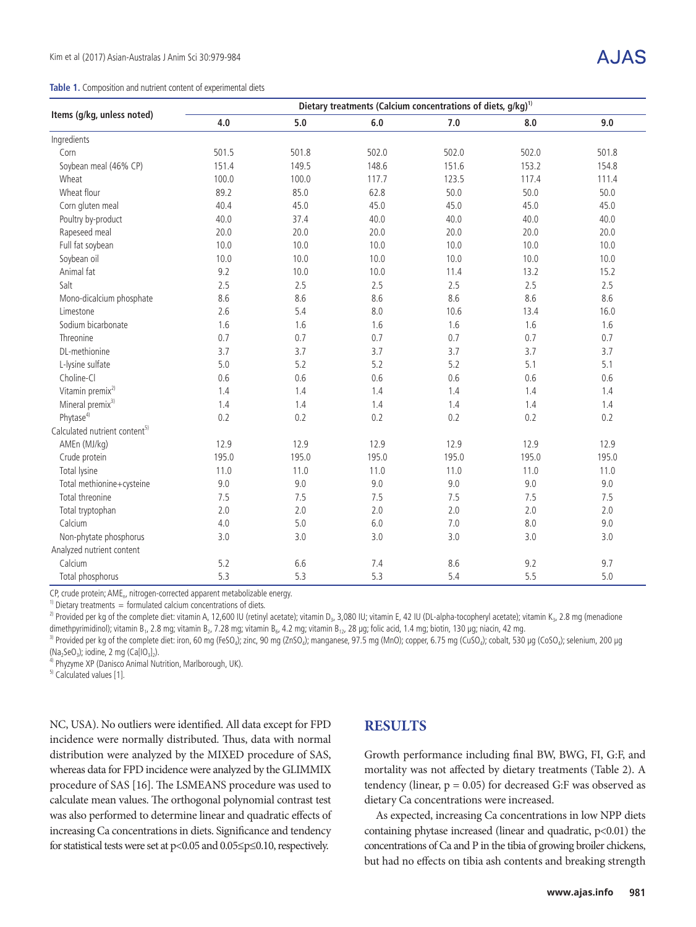|  |  |  |  | Table 1. Composition and nutrient content of experimental diets |
|--|--|--|--|-----------------------------------------------------------------|
|  |  |  |  |                                                                 |

| $\sqrt{ }$<br>7 | JA |
|-----------------|----|
|                 |    |

|                                           | Dietary treatments (Calcium concentrations of diets, $g/kg$ ) <sup>1)</sup> |       |         |       |       |       |  |  |  |  |  |
|-------------------------------------------|-----------------------------------------------------------------------------|-------|---------|-------|-------|-------|--|--|--|--|--|
| Items (g/kg, unless noted)                | 4.0                                                                         | 5.0   | $6.0\,$ | 7.0   | 8.0   | 9.0   |  |  |  |  |  |
| Ingredients                               |                                                                             |       |         |       |       |       |  |  |  |  |  |
| Corn                                      | 501.5                                                                       | 501.8 | 502.0   | 502.0 | 502.0 | 501.8 |  |  |  |  |  |
| Soybean meal (46% CP)                     | 151.4                                                                       | 149.5 | 148.6   | 151.6 | 153.2 | 154.8 |  |  |  |  |  |
| Wheat                                     | 100.0                                                                       | 100.0 | 117.7   | 123.5 | 117.4 | 111.4 |  |  |  |  |  |
| Wheat flour                               | 89.2                                                                        | 85.0  | 62.8    | 50.0  | 50.0  | 50.0  |  |  |  |  |  |
| Corn gluten meal                          | 40.4                                                                        | 45.0  | 45.0    | 45.0  | 45.0  | 45.0  |  |  |  |  |  |
| Poultry by-product                        | 40.0                                                                        | 37.4  | 40.0    | 40.0  | 40.0  | 40.0  |  |  |  |  |  |
| Rapeseed meal                             | 20.0                                                                        | 20.0  | 20.0    | 20.0  | 20.0  | 20.0  |  |  |  |  |  |
| Full fat soybean                          | 10.0                                                                        | 10.0  | 10.0    | 10.0  | 10.0  | 10.0  |  |  |  |  |  |
| Soybean oil                               | 10.0                                                                        | 10.0  | 10.0    | 10.0  | 10.0  | 10.0  |  |  |  |  |  |
| Animal fat                                | 9.2                                                                         | 10.0  | 10.0    | 11.4  | 13.2  | 15.2  |  |  |  |  |  |
| Salt                                      | 2.5                                                                         | 2.5   | 2.5     | 2.5   | 2.5   | 2.5   |  |  |  |  |  |
| Mono-dicalcium phosphate                  | 8.6                                                                         | 8.6   | 8.6     | 8.6   | 8.6   | 8.6   |  |  |  |  |  |
| Limestone                                 | 2.6                                                                         | 5.4   | 8.0     | 10.6  | 13.4  | 16.0  |  |  |  |  |  |
| Sodium bicarbonate                        | 1.6                                                                         | 1.6   | 1.6     | 1.6   | 1.6   | 1.6   |  |  |  |  |  |
| Threonine                                 | 0.7                                                                         | 0.7   | 0.7     | 0.7   | 0.7   | 0.7   |  |  |  |  |  |
| DL-methionine                             | 3.7                                                                         | 3.7   | 3.7     | 3.7   | 3.7   | 3.7   |  |  |  |  |  |
| L-lysine sulfate                          | 5.0                                                                         | 5.2   | 5.2     | 5.2   | 5.1   | 5.1   |  |  |  |  |  |
| Choline-Cl                                | 0.6                                                                         | 0.6   | 0.6     | 0.6   | 0.6   | 0.6   |  |  |  |  |  |
| Vitamin premix <sup>2)</sup>              | 1.4                                                                         | 1.4   | 1.4     | 1.4   | 1.4   | 1.4   |  |  |  |  |  |
| Mineral premix <sup>3)</sup>              | 1.4                                                                         | 1.4   | 1.4     | 1.4   | 1.4   | 1.4   |  |  |  |  |  |
| Phytase <sup>4)</sup>                     | 0.2                                                                         | 0.2   | 0.2     | 0.2   | 0.2   | 0.2   |  |  |  |  |  |
| Calculated nutrient content <sup>5)</sup> |                                                                             |       |         |       |       |       |  |  |  |  |  |
| AMEn (MJ/kg)                              | 12.9                                                                        | 12.9  | 12.9    | 12.9  | 12.9  | 12.9  |  |  |  |  |  |
| Crude protein                             | 195.0                                                                       | 195.0 | 195.0   | 195.0 | 195.0 | 195.0 |  |  |  |  |  |
| Total lysine                              | 11.0                                                                        | 11.0  | 11.0    | 11.0  | 11.0  | 11.0  |  |  |  |  |  |
| Total methionine+cysteine                 | 9.0                                                                         | 9.0   | 9.0     | 9.0   | 9.0   | 9.0   |  |  |  |  |  |
| Total threonine                           | 7.5                                                                         | 7.5   | 7.5     | 7.5   | 7.5   | 7.5   |  |  |  |  |  |
| Total tryptophan                          | 2.0                                                                         | 2.0   | 2.0     | 2.0   | 2.0   | 2.0   |  |  |  |  |  |
| Calcium                                   | 4.0                                                                         | 5.0   | 6.0     | 7.0   | 8.0   | 9.0   |  |  |  |  |  |
| Non-phytate phosphorus                    | 3.0                                                                         | 3.0   | 3.0     | 3.0   | 3.0   | 3.0   |  |  |  |  |  |
| Analyzed nutrient content                 |                                                                             |       |         |       |       |       |  |  |  |  |  |
| Calcium                                   | 5.2                                                                         | 6.6   | 7.4     | 8.6   | 9.2   | 9.7   |  |  |  |  |  |
| Total phosphorus                          | 5.3                                                                         | 5.3   | 5.3     | 5.4   | 5.5   | 5.0   |  |  |  |  |  |

CP, crude protein; AME<sub>n</sub>, nitrogen-corrected apparent metabolizable energy.

 $1)$  Dietary treatments = formulated calcium concentrations of diets.

<sup>2)</sup> Provided per kg of the complete diet: vitamin A, 12,600 IU (retinyl acetate); vitamin D<sub>3</sub>, 3,080 IU; vitamin E, 42 IU (DL-alpha-tocopheryl acetate); vitamin K<sub>3</sub>, 2.8 mg (menadione dimethpyrimidinol); vitamin B<sub>1</sub>, 2.8 mg; vitamin B<sub>2</sub>, 7.28 mg; vitamin B<sub>6</sub>, 4.2 mg; vitamin B<sub>12</sub>, 28 µg; folic acid, 1.4 mg; biotin, 130 µg; niacin, 42 mg.

<sup>3)</sup> Provided per kg of the complete diet: iron, 60 mg (FeSO<sub>4</sub>); zinc, 90 mg (ZnSO<sub>4</sub>); manganese, 97.5 mg (MnO); copper, 6.75 mg (CuSO<sub>4</sub>); cobalt, 530 μg (CoSO<sub>4</sub>); selenium, 200 μg  $(Na_2SeO_3)$ ; iodine, 2 mg (Ca[IO<sub>3</sub>]<sub>2</sub>).

<sup>4)</sup> Phyzyme XP (Danisco Animal Nutrition, Marlborough, UK).

<sup>5)</sup> Calculated values [1].

NC, USA). No outliers were identified. All data except for FPD incidence were normally distributed. Thus, data with normal distribution were analyzed by the MIXED procedure of SAS, whereas data for FPD incidence were analyzed by the GLIMMIX procedure of SAS [16]. The LSMEANS procedure was used to calculate mean values. The orthogonal polynomial contrast test was also performed to determine linear and quadratic effects of increasing Ca concentrations in diets. Significance and tendency for statistical tests were set at p<0.05 and 0.05≤p≤0.10, respectively.

#### **RESULTS**

Growth performance including final BW, BWG, FI, G:F, and mortality was not affected by dietary treatments (Table 2). A tendency (linear,  $p = 0.05$ ) for decreased G:F was observed as dietary Ca concentrations were increased.

As expected, increasing Ca concentrations in low NPP diets containing phytase increased (linear and quadratic, p<0.01) the concentrations of Ca and P in the tibia of growing broiler chickens, but had no effects on tibia ash contents and breaking strength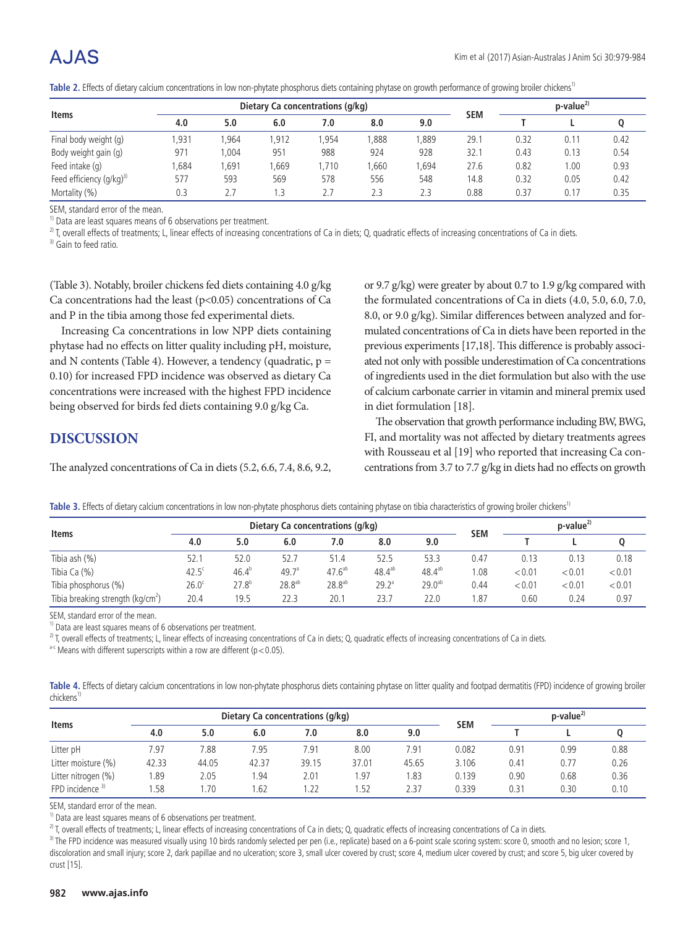|                              |      |      | Dietary Ca concentrations (q/kg) |       | $p$ -value <sup><math>2</math></sup> |      |            |      |      |      |
|------------------------------|------|------|----------------------------------|-------|--------------------------------------|------|------------|------|------|------|
| <b>Items</b>                 | 4.0  | 5.0  | 6.0                              | 7.0   | 8.0                                  | 9.0  | <b>SEM</b> |      |      |      |
| Final body weight (g)        | ,931 | .964 | 1.912                            | .954  | .888                                 | .889 | 29.1       | 0.32 | 0.11 | 0.42 |
| Body weight gain (g)         | 971  | .004 | 951                              | 988   | 924                                  | 928  | 32.1       | 0.43 | 0.13 | 0.54 |
| Feed intake (g)              | ,684 | ,691 | 1,669                            | 1,710 | .660                                 | ,694 | 27.6       | 0.82 | 00.1 | 0.93 |
| Feed efficiency $(q/kg)^{3}$ | 577  | 593  | 569                              | 578   | 556                                  | 548  | 14.8       | 0.32 | 0.05 | 0.42 |
| Mortality (%)                | 0.3  | 2.7  |                                  |       | 2.3                                  | 2.3  | 0.88       | 0.37 | 0.17 | 0.35 |

Table 2. Effects of dietary calcium concentrations in low non-phytate phosphorus diets containing phytase on growth performance of growing broiler chickens<sup>1)</sup>

SEM, standard error of the mean.

<sup>1)</sup> Data are least squares means of 6 observations per treatment.

<sup>2)</sup> T, overall effects of treatments; L, linear effects of increasing concentrations of Ca in diets; Q, quadratic effects of increasing concentrations of Ca in diets.

<sup>3)</sup> Gain to feed ratio.

(Table 3). Notably, broiler chickens fed diets containing 4.0 g/kg Ca concentrations had the least  $(p<0.05)$  concentrations of Ca and P in the tibia among those fed experimental diets.

Increasing Ca concentrations in low NPP diets containing phytase had no effects on litter quality including pH, moisture, and N contents (Table 4). However, a tendency (quadratic,  $p =$ 0.10) for increased FPD incidence was observed as dietary Ca concentrations were increased with the highest FPD incidence being observed for birds fed diets containing 9.0 g/kg Ca.

#### **DISCUSSION**

The analyzed concentrations of Ca in diets (5.2, 6.6, 7.4, 8.6, 9.2,

or 9.7 g/kg) were greater by about 0.7 to 1.9 g/kg compared with the formulated concentrations of Ca in diets (4.0, 5.0, 6.0, 7.0, 8.0, or 9.0 g/kg). Similar differences between analyzed and formulated concentrations of Ca in diets have been reported in the previous experiments [17,18]. This difference is probably associated not only with possible underestimation of Ca concentrations of ingredients used in the diet formulation but also with the use of calcium carbonate carrier in vitamin and mineral premix used in diet formulation [18].

The observation that growth performance including BW, BWG, FI, and mortality was not affected by dietary treatments agrees with Rousseau et al [19] who reported that increasing Ca concentrations from 3.7 to 7.7 g/kg in diets had no effects on growth

|  |  | Table 3. Effects of dietary calcium concentrations in low non-phytate phosphorus diets containing phytase on tibia characteristics of growing broiler chickens <sup>1</sup> |  |
|--|--|-----------------------------------------------------------------------------------------------------------------------------------------------------------------------------|--|
|  |  |                                                                                                                                                                             |  |

| <b>Items</b>                         |                   |            | Dietary Ca concentrations (q/kq) | <b>SEM</b>         | $p-value^{2}$ |             |      |        |        |        |
|--------------------------------------|-------------------|------------|----------------------------------|--------------------|---------------|-------------|------|--------|--------|--------|
|                                      | 4.0               | 5.0        | 6.0                              | 7.0                | 8.0           | 9.0         |      |        |        |        |
| Tibia ash (%)                        | 52.1              | 52.0       | 52.7                             | 51.4               | 52.5          | 53.3        | 0.47 | 0.13   | 0.13   | 0.18   |
| Tibia Ca (%)                         | $42.5^{\circ}$    | $46.4^{b}$ | 49.7 <sup>a</sup>                | $47.6^{ab}$        | $48.4^{ab}$   | $48.4^{ab}$ | .08  | < 0.01 | < 0.01 | < 0.01 |
| Tibia phosphorus (%)                 | 26.0 <sup>c</sup> | $27.8^{b}$ | 28.8 <sup>ab</sup>               | 28.8 <sup>ab</sup> | $29.2^a$      | $29.0^{ab}$ | 0.44 | < 0.01 | < 0.01 | < 0.01 |
| Tibia breaking strength ( $kg/cm2$ ) | 20.4              | 19.5       | 22.3                             | 20.1               | 23.7          | 22.0        | .87  | 0.60   | 0.24   | 0.97   |

SEM, standard error of the mean.

 $1)$  Data are least squares means of 6 observations per treatment.

 $^{2)}$  T, overall effects of treatments; L, linear effects of increasing concentrations of Ca in diets; Q, quadratic effects of increasing concentrations of Ca in diets.

a-c Means with different superscripts within a row are different ( $p < 0.05$ ).

|                        | Table 4. Effects of dietary calcium concentrations in low non-phytate phosphorus diets containing phytase on litter quality and footpad dermatitis (FPD) incidence of growing broiler |  |  |  |  |  |  |  |
|------------------------|---------------------------------------------------------------------------------------------------------------------------------------------------------------------------------------|--|--|--|--|--|--|--|
| chickens <sup>1)</sup> |                                                                                                                                                                                       |  |  |  |  |  |  |  |

| <b>Items</b>        |       |       |       | Dietary Ca concentrations (g/kg) | <b>SEM</b> | $p$ -value <sup><math>2</math></sup> |       |      |      |      |
|---------------------|-------|-------|-------|----------------------------------|------------|--------------------------------------|-------|------|------|------|
|                     | 4.0   | 5.0   | 6.0   | 7.0                              | 8.0        | 9.0                                  |       |      |      |      |
| Litter pH           | 7.97  | 7.88  | 7.95  | 7.91                             | 8.00       | 7.91                                 | 0.082 | 0.91 | 0.99 | 0.88 |
| Litter moisture (%) | 42.33 | 44.05 | 42.37 | 39.15                            | 37.01      | 45.65                                | 3.106 | 0.41 | 0.77 | 0.26 |
| Litter nitrogen (%) | .89   | 2.05  | .94   | 2.01                             | .97        | 1.83                                 | 0.139 | 0.90 | 0.68 | 0.36 |
| FPD incidence $3$   | .58   | .70   | .62   | .22                              | .52        | 2.37                                 | 0.339 | 0.31 | 0.30 | 0.10 |

SEM, standard error of the mean.

<sup>1)</sup> Data are least squares means of 6 observations per treatment.

 $^{2)}$  T, overall effects of treatments; L, linear effects of increasing concentrations of Ca in diets; Q, quadratic effects of increasing concentrations of Ca in diets.

<sup>3)</sup> The FPD incidence was measured visually using 10 birds randomly selected per pen (i.e., replicate) based on a 6-point scale scoring system: score 0, smooth and no lesion; score 1, discoloration and small injury; score 2, dark papillae and no ulceration; score 3, small ulcer covered by crust; score 4, medium ulcer covered by crust; and score 5, big ulcer covered by crust [15].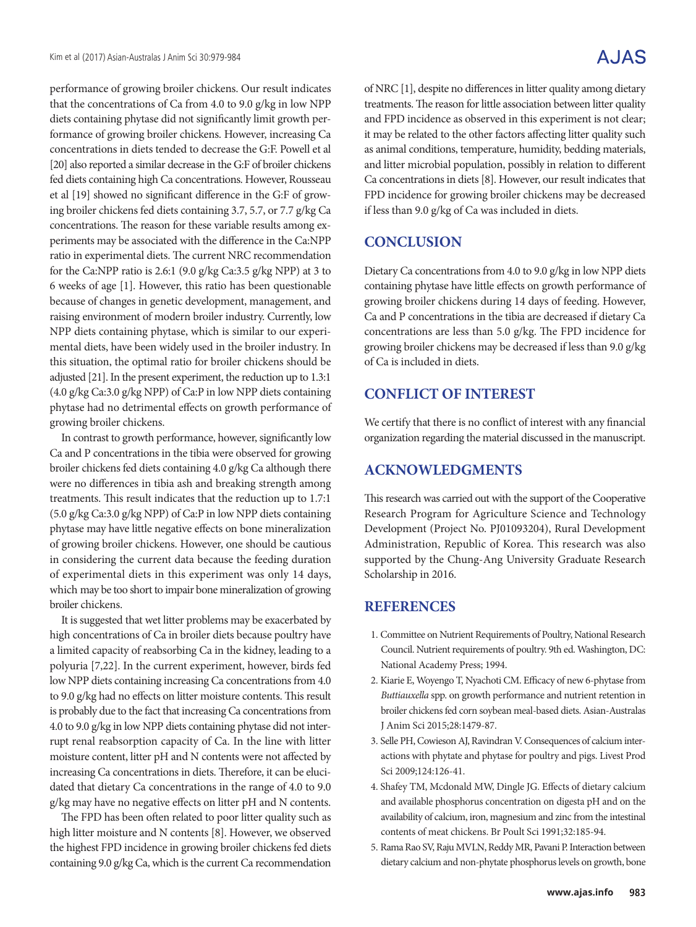performance of growing broiler chickens. Our result indicates that the concentrations of Ca from 4.0 to 9.0 g/kg in low NPP diets containing phytase did not significantly limit growth performance of growing broiler chickens. However, increasing Ca concentrations in diets tended to decrease the G:F. Powell et al [20] also reported a similar decrease in the G:F of broiler chickens fed diets containing high Ca concentrations. However, Rousseau et al [19] showed no significant difference in the G:F of growing broiler chickens fed diets containing 3.7, 5.7, or 7.7 g/kg Ca concentrations. The reason for these variable results among experiments may be associated with the difference in the Ca:NPP ratio in experimental diets. The current NRC recommendation for the Ca:NPP ratio is 2.6:1 (9.0 g/kg Ca:3.5 g/kg NPP) at 3 to 6 weeks of age [1]. However, this ratio has been questionable because of changes in genetic development, management, and raising environment of modern broiler industry. Currently, low NPP diets containing phytase, which is similar to our experimental diets, have been widely used in the broiler industry. In this situation, the optimal ratio for broiler chickens should be adjusted [21]. In the present experiment, the reduction up to 1.3:1 (4.0 g/kg Ca:3.0 g/kg NPP) of Ca:P in low NPP diets containing phytase had no detrimental effects on growth performance of growing broiler chickens.

In contrast to growth performance, however, significantly low Ca and P concentrations in the tibia were observed for growing broiler chickens fed diets containing 4.0 g/kg Ca although there were no differences in tibia ash and breaking strength among treatments. This result indicates that the reduction up to 1.7:1 (5.0 g/kg Ca:3.0 g/kg NPP) of Ca:P in low NPP diets containing phytase may have little negative effects on bone mineralization of growing broiler chickens. However, one should be cautious in considering the current data because the feeding duration of experimental diets in this experiment was only 14 days, which may be too short to impair bone mineralization of growing broiler chickens.

It is suggested that wet litter problems may be exacerbated by high concentrations of Ca in broiler diets because poultry have a limited capacity of reabsorbing Ca in the kidney, leading to a polyuria [7,22]. In the current experiment, however, birds fed low NPP diets containing increasing Ca concentrations from 4.0 to 9.0 g/kg had no effects on litter moisture contents. This result is probably due to the fact that increasing Ca concentrations from 4.0 to 9.0 g/kg in low NPP diets containing phytase did not interrupt renal reabsorption capacity of Ca. In the line with litter moisture content, litter pH and N contents were not affected by increasing Ca concentrations in diets. Therefore, it can be elucidated that dietary Ca concentrations in the range of 4.0 to 9.0 g/kg may have no negative effects on litter pH and N contents.

The FPD has been often related to poor litter quality such as high litter moisture and N contents [8]. However, we observed the highest FPD incidence in growing broiler chickens fed diets containing 9.0 g/kg Ca, which is the current Ca recommendation

of NRC [1], despite no differences in litter quality among dietary treatments. The reason for little association between litter quality and FPD incidence as observed in this experiment is not clear; it may be related to the other factors affecting litter quality such as animal conditions, temperature, humidity, bedding materials, and litter microbial population, possibly in relation to different Ca concentrations in diets [8]. However, our result indicates that FPD incidence for growing broiler chickens may be decreased if less than 9.0 g/kg of Ca was included in diets.

#### **CONCLUSION**

Dietary Ca concentrations from 4.0 to 9.0 g/kg in low NPP diets containing phytase have little effects on growth performance of growing broiler chickens during 14 days of feeding. However, Ca and P concentrations in the tibia are decreased if dietary Ca concentrations are less than 5.0 g/kg. The FPD incidence for growing broiler chickens may be decreased if less than 9.0 g/kg of Ca is included in diets.

#### **CONFLICT OF INTEREST**

We certify that there is no conflict of interest with any financial organization regarding the material discussed in the manuscript.

#### **ACKNOWLEDGMENTS**

This research was carried out with the support of the Cooperative Research Program for Agriculture Science and Technology Development (Project No. PJ01093204), Rural Development Administration, Republic of Korea. This research was also supported by the Chung-Ang University Graduate Research Scholarship in 2016.

#### **REFERENCES**

- 1. Committee on Nutrient Requirements of Poultry, National Research Council. Nutrient requirements of poultry. 9th ed. Washington, DC: National Academy Press; 1994.
- 2. Kiarie E, Woyengo T, Nyachoti CM. Efficacy of new 6-phytase from *Buttiauxella* spp. on growth performance and nutrient retention in broiler chickens fed corn soybean meal-based diets. Asian-Australas J Anim Sci 2015;28:1479-87.
- 3. Selle PH, Cowieson AJ, Ravindran V. Consequences of calcium interactions with phytate and phytase for poultry and pigs. Livest Prod Sci 2009;124:126-41.
- 4. Shafey TM, Mcdonald MW, Dingle JG. Effects of dietary calcium and available phosphorus concentration on digesta pH and on the availability of calcium, iron, magnesium and zinc from the intestinal contents of meat chickens. Br Poult Sci 1991;32:185-94.
- 5. Rama Rao SV, Raju MVLN, Reddy MR, Pavani P. Interaction between dietary calcium and non-phytate phosphorus levels on growth, bone